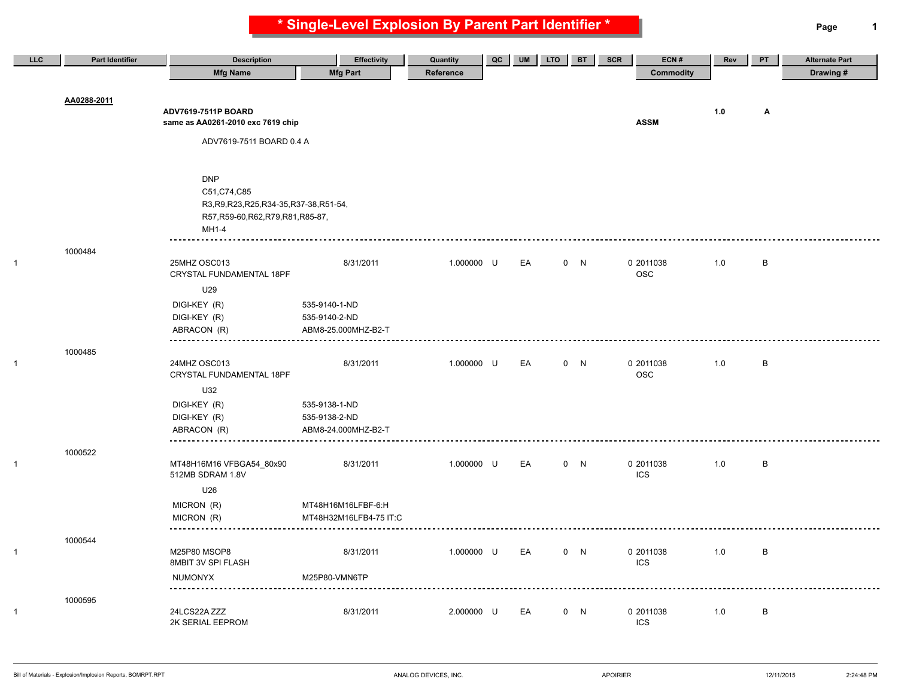**\* Single-Level Explosion By Parent Part Identifier \* Page 1**

| LLC | <b>Part Identifier</b> | <b>Description</b>                        | <b>Effectivity</b>     | Quantity   | QC | <b>UM</b> | <b>LTO</b> | <b>BT</b> | SCR | ECN#                    | Rev | PT           | <b>Alternate Part</b> |
|-----|------------------------|-------------------------------------------|------------------------|------------|----|-----------|------------|-----------|-----|-------------------------|-----|--------------|-----------------------|
|     |                        | <b>Mfg Name</b>                           | <b>Mfg Part</b>        | Reference  |    |           |            |           |     | <b>Commodity</b>        |     |              | Drawing#              |
|     |                        |                                           |                        |            |    |           |            |           |     |                         |     |              |                       |
|     | AA0288-2011            |                                           |                        |            |    |           |            |           |     |                         |     |              |                       |
|     |                        | ADV7619-7511P BOARD                       |                        |            |    |           |            |           |     |                         | 1.0 | Α            |                       |
|     |                        | same as AA0261-2010 exc 7619 chip         |                        |            |    |           |            |           |     | <b>ASSM</b>             |     |              |                       |
|     |                        | ADV7619-7511 BOARD 0.4 A                  |                        |            |    |           |            |           |     |                         |     |              |                       |
|     |                        |                                           |                        |            |    |           |            |           |     |                         |     |              |                       |
|     |                        |                                           |                        |            |    |           |            |           |     |                         |     |              |                       |
|     |                        | <b>DNP</b>                                |                        |            |    |           |            |           |     |                         |     |              |                       |
|     |                        | C51, C74, C85                             |                        |            |    |           |            |           |     |                         |     |              |                       |
|     |                        | R3, R9, R23, R25, R34-35, R37-38, R51-54, |                        |            |    |           |            |           |     |                         |     |              |                       |
|     |                        | R57, R59-60, R62, R79, R81, R85-87,       |                        |            |    |           |            |           |     |                         |     |              |                       |
|     |                        | MH1-4                                     |                        |            |    |           |            |           |     |                         |     |              |                       |
|     |                        |                                           |                        |            |    |           |            |           |     |                         |     |              |                       |
|     | 1000484                |                                           |                        |            |    |           |            |           |     |                         |     |              |                       |
|     |                        | 25MHZ OSC013<br>CRYSTAL FUNDAMENTAL 18PF  | 8/31/2011              | 1.000000 U |    | EA        |            | 0 N       |     | 0 2011038<br><b>OSC</b> | 1.0 | B            |                       |
|     |                        |                                           |                        |            |    |           |            |           |     |                         |     |              |                       |
|     |                        | U29                                       |                        |            |    |           |            |           |     |                         |     |              |                       |
|     |                        | DIGI-KEY (R)                              | 535-9140-1-ND          |            |    |           |            |           |     |                         |     |              |                       |
|     |                        | DIGI-KEY (R)                              | 535-9140-2-ND          |            |    |           |            |           |     |                         |     |              |                       |
|     |                        | ABRACON (R)                               | ABM8-25.000MHZ-B2-T    |            |    |           |            |           |     |                         |     |              |                       |
|     | 1000485                |                                           |                        |            |    |           |            |           |     |                         |     |              |                       |
|     |                        | 24MHZ OSC013                              | 8/31/2011              | 1.000000 U |    | EA        |            | 0 N       |     | 0 2011038               | 1.0 | B            |                       |
|     |                        | CRYSTAL FUNDAMENTAL 18PF                  |                        |            |    |           |            |           |     | <b>OSC</b>              |     |              |                       |
|     |                        | U32                                       |                        |            |    |           |            |           |     |                         |     |              |                       |
|     |                        | DIGI-KEY (R)                              | 535-9138-1-ND          |            |    |           |            |           |     |                         |     |              |                       |
|     |                        | DIGI-KEY (R)                              | 535-9138-2-ND          |            |    |           |            |           |     |                         |     |              |                       |
|     |                        | ABRACON (R)                               | ABM8-24.000MHZ-B2-T    |            |    |           |            |           |     |                         |     |              |                       |
|     |                        |                                           |                        |            |    |           |            |           |     |                         |     |              |                       |
|     | 1000522                |                                           |                        |            |    |           |            |           |     |                         |     |              |                       |
|     |                        | MT48H16M16 VFBGA54_80x90                  | 8/31/2011              | 1.000000 U |    | EA        |            | 0 N       |     | 0 2011038               | 1.0 | B            |                       |
|     |                        | 512MB SDRAM 1.8V                          |                        |            |    |           |            |           |     | <b>ICS</b>              |     |              |                       |
|     |                        | U26                                       |                        |            |    |           |            |           |     |                         |     |              |                       |
|     |                        | MICRON (R)                                | MT48H16M16LFBF-6:H     |            |    |           |            |           |     |                         |     |              |                       |
|     |                        | MICRON (R)                                | MT48H32M16LFB4-75 IT:C |            |    |           |            |           |     |                         |     |              |                       |
|     |                        |                                           |                        |            |    |           |            |           |     |                         |     |              |                       |
|     | 1000544                | M25P80 MSOP8                              | 8/31/2011              | 1.000000 U |    | EA        |            | 0 N       |     | 0 2011038               | 1.0 | $\, {\bf B}$ |                       |
|     |                        | 8MBIT 3V SPI FLASH                        |                        |            |    |           |            |           |     | <b>ICS</b>              |     |              |                       |
|     |                        | <b>NUMONYX</b>                            | M25P80-VMN6TP          |            |    |           |            |           |     |                         |     |              |                       |
|     |                        |                                           |                        |            |    |           |            |           |     |                         |     |              |                       |
|     | 1000595                |                                           |                        |            |    |           |            |           |     |                         |     |              |                       |
|     |                        | 24LCS22A ZZZ                              | 8/31/2011              | 2.000000 U |    | EA        |            | 0 N       |     | 0 2011038               | 1.0 | $\, {\sf B}$ |                       |
|     |                        | 2K SERIAL EEPROM                          |                        |            |    |           |            |           |     | <b>ICS</b>              |     |              |                       |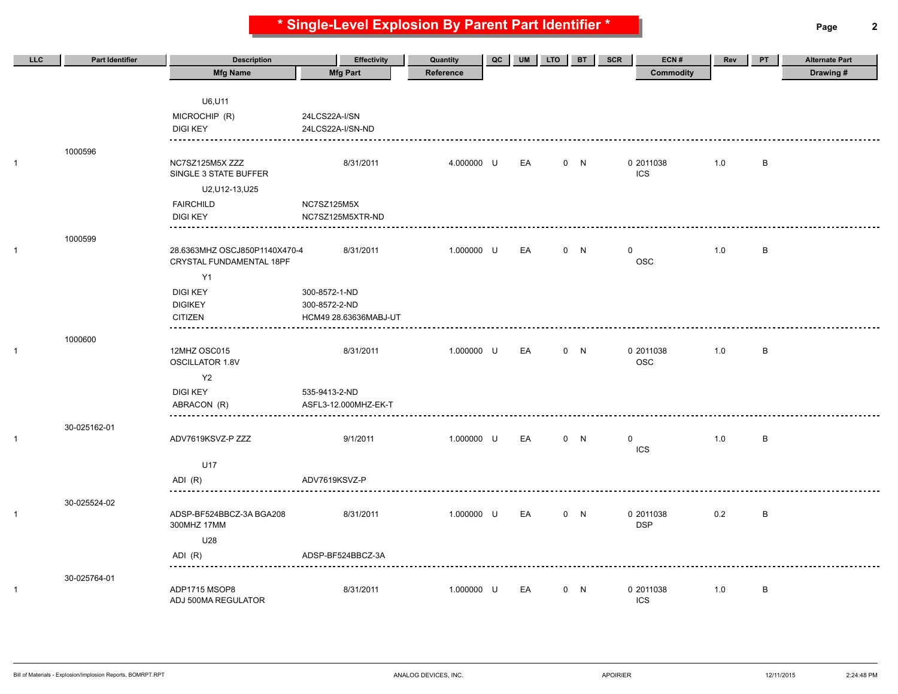**\* Single-Level Explosion By Parent Part Identifier \* Page 2**

| LLC          | <b>Part Identifier</b> | <b>Description</b>                       | <b>Effectivity</b>    | Quantity   | QC | <b>UM</b> | <b>LTO</b> | <b>BT</b> | ECN#<br><b>SCR</b>        | Rev | PT           | <b>Alternate Part</b> |
|--------------|------------------------|------------------------------------------|-----------------------|------------|----|-----------|------------|-----------|---------------------------|-----|--------------|-----------------------|
|              |                        | <b>Mfg Name</b>                          | <b>Mfg Part</b>       | Reference  |    |           |            |           | <b>Commodity</b>          |     |              | Drawing#              |
|              |                        |                                          |                       |            |    |           |            |           |                           |     |              |                       |
|              |                        | U6, U11                                  |                       |            |    |           |            |           |                           |     |              |                       |
|              |                        | MICROCHIP (R)                            | 24LCS22A-I/SN         |            |    |           |            |           |                           |     |              |                       |
|              |                        | <b>DIGI KEY</b>                          | 24LCS22A-I/SN-ND      |            |    |           |            |           |                           |     |              |                       |
|              | 1000596                |                                          |                       |            |    |           |            |           |                           |     |              |                       |
| 1            |                        | NC7SZ125M5X ZZZ<br>SINGLE 3 STATE BUFFER | 8/31/2011             | 4.000000 U |    | EA        |            | 0 N       | 0 2011038<br><b>ICS</b>   | 1.0 | B            |                       |
|              |                        | U2, U12-13, U25                          |                       |            |    |           |            |           |                           |     |              |                       |
|              |                        | <b>FAIRCHILD</b>                         | NC7SZ125M5X           |            |    |           |            |           |                           |     |              |                       |
|              |                        | <b>DIGI KEY</b>                          | NC7SZ125M5XTR-ND      |            |    |           |            |           |                           |     |              |                       |
|              |                        |                                          |                       |            |    |           |            |           |                           |     |              |                       |
| 1            | 1000599                | 28.6363MHZ OSCJ850P1140X470-4            | 8/31/2011             | 1.000000 U |    | EA        |            | 0 N       | 0                         | 1.0 | $\, {\sf B}$ |                       |
|              |                        | CRYSTAL FUNDAMENTAL 18PF                 |                       |            |    |           |            |           | <b>OSC</b>                |     |              |                       |
|              |                        | Y1                                       |                       |            |    |           |            |           |                           |     |              |                       |
|              |                        | <b>DIGI KEY</b>                          | 300-8572-1-ND         |            |    |           |            |           |                           |     |              |                       |
|              |                        | <b>DIGIKEY</b>                           | 300-8572-2-ND         |            |    |           |            |           |                           |     |              |                       |
|              |                        | <b>CITIZEN</b>                           | HCM49 28.63636MABJ-UT |            |    |           |            |           |                           |     |              |                       |
|              | 1000600                |                                          |                       |            |    |           |            |           |                           |     |              |                       |
| $\mathbf{1}$ |                        | 12MHZ OSC015<br><b>OSCILLATOR 1.8V</b>   | 8/31/2011             | 1.000000 U |    | EA        |            | 0 N       | 0 2011038<br><b>OSC</b>   | 1.0 | B            |                       |
|              |                        | Y2                                       |                       |            |    |           |            |           |                           |     |              |                       |
|              |                        | <b>DIGI KEY</b>                          | 535-9413-2-ND         |            |    |           |            |           |                           |     |              |                       |
|              |                        | ABRACON (R)                              | ASFL3-12.000MHZ-EK-T  |            |    |           |            |           |                           |     |              |                       |
|              |                        |                                          |                       |            |    |           |            |           |                           |     |              |                       |
|              | 30-025162-01           |                                          |                       |            |    |           |            |           |                           |     |              |                       |
| 1            |                        | ADV7619KSVZ-P ZZZ                        | 9/1/2011              | 1.000000 U |    | EA        |            | 0 N       | $\mathbf 0$<br><b>ICS</b> | 1.0 | B            |                       |
|              |                        | U17                                      |                       |            |    |           |            |           |                           |     |              |                       |
|              |                        | ADI (R)                                  | ADV7619KSVZ-P         |            |    |           |            |           |                           |     |              |                       |
|              |                        |                                          |                       |            |    |           |            |           |                           |     |              |                       |
|              | 30-025524-02           |                                          |                       |            |    |           |            |           |                           |     |              |                       |
| 1            |                        | ADSP-BF524BBCZ-3A BGA208<br>300MHZ 17MM  | 8/31/2011             | 1.000000 U |    | EA        |            | 0 N       | 0 2011038<br><b>DSP</b>   | 0.2 | $\, {\bf B}$ |                       |
|              |                        | U28                                      |                       |            |    |           |            |           |                           |     |              |                       |
|              |                        | ADI (R)                                  | ADSP-BF524BBCZ-3A     |            |    |           |            |           |                           |     |              |                       |
|              |                        |                                          |                       |            |    |           |            |           |                           |     |              |                       |
| 1            | 30-025764-01           | ADP1715 MSOP8                            | 8/31/2011             | 1.000000 U |    | EA        |            | 0 N       | 0 2011038                 | 1.0 | B            |                       |
|              |                        | ADJ 500MA REGULATOR                      |                       |            |    |           |            |           | <b>ICS</b>                |     |              |                       |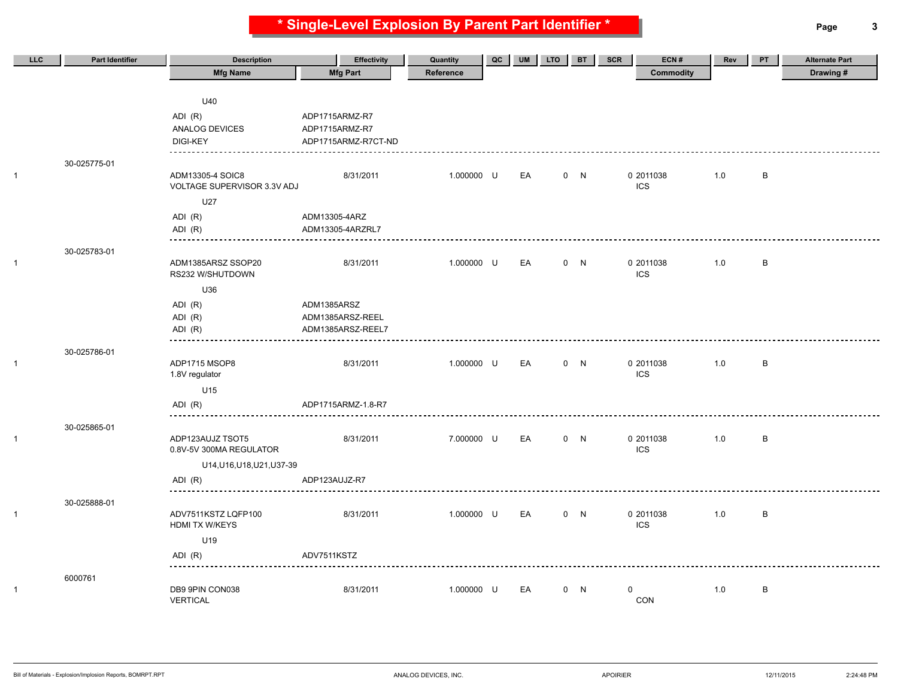**\* Single-Level Explosion By Parent Part Identifier \* Page 3**

| LLC | <b>Part Identifier</b> | <b>Description</b>                              | <b>Effectivity</b>  | Quantity   | QC | <b>UM</b> | <b>LTO</b> | <b>BT</b> | ECN#<br>SCR      | Rev | <b>PT</b> | <b>Alternate Part</b> |
|-----|------------------------|-------------------------------------------------|---------------------|------------|----|-----------|------------|-----------|------------------|-----|-----------|-----------------------|
|     |                        | <b>Mfg Name</b>                                 | <b>Mfg Part</b>     | Reference  |    |           |            |           | <b>Commodity</b> |     |           | Drawing#              |
|     |                        |                                                 |                     |            |    |           |            |           |                  |     |           |                       |
|     |                        | U40                                             |                     |            |    |           |            |           |                  |     |           |                       |
|     |                        | ADI (R)                                         | ADP1715ARMZ-R7      |            |    |           |            |           |                  |     |           |                       |
|     |                        | ANALOG DEVICES                                  | ADP1715ARMZ-R7      |            |    |           |            |           |                  |     |           |                       |
|     |                        | <b>DIGI-KEY</b>                                 | ADP1715ARMZ-R7CT-ND |            |    |           |            |           |                  |     |           |                       |
|     | 30-025775-01           |                                                 |                     |            |    |           |            |           |                  |     |           |                       |
|     |                        | ADM13305-4 SOIC8<br>VOLTAGE SUPERVISOR 3.3V ADJ | 8/31/2011           | 1.000000 U |    | EA        |            | 0 N       | 0 2011038<br>ICS | 1.0 | B         |                       |
|     |                        | U27                                             |                     |            |    |           |            |           |                  |     |           |                       |
|     |                        | ADI (R)                                         | ADM13305-4ARZ       |            |    |           |            |           |                  |     |           |                       |
|     |                        | ADI (R)                                         | ADM13305-4ARZRL7    |            |    |           |            |           |                  |     |           |                       |
|     | 30-025783-01           |                                                 |                     |            |    |           |            |           |                  |     |           |                       |
|     |                        | ADM1385ARSZ SSOP20                              | 8/31/2011           | 1.000000 U |    | EA        |            | 0 N       | 0 2011038        | 1.0 | B         |                       |
|     |                        | RS232 W/SHUTDOWN                                |                     |            |    |           |            |           | <b>ICS</b>       |     |           |                       |
|     |                        | U36                                             |                     |            |    |           |            |           |                  |     |           |                       |
|     |                        | ADI (R)                                         | ADM1385ARSZ         |            |    |           |            |           |                  |     |           |                       |
|     |                        | ADI (R)                                         | ADM1385ARSZ-REEL    |            |    |           |            |           |                  |     |           |                       |
|     |                        | ADI (R)                                         | ADM1385ARSZ-REEL7   |            |    |           |            |           |                  |     |           |                       |
|     | 30-025786-01           |                                                 |                     |            |    |           |            |           |                  |     |           |                       |
|     |                        | ADP1715 MSOP8                                   | 8/31/2011           | 1.000000 U |    | EA        |            | 0 N       | 0 2011038        | 1.0 | B         |                       |
|     |                        | 1.8V regulator                                  |                     |            |    |           |            |           | <b>ICS</b>       |     |           |                       |
|     |                        | U15                                             |                     |            |    |           |            |           |                  |     |           |                       |
|     |                        | ADI (R)                                         | ADP1715ARMZ-1.8-R7  |            |    |           |            |           |                  |     |           |                       |
|     | 30-025865-01           | <u></u>                                         |                     |            |    |           |            |           |                  |     |           |                       |
|     |                        | ADP123AUJZ TSOT5                                | 8/31/2011           | 7.000000 U |    | EA        |            | 0 N       | 0 2011038        | 1.0 | B         |                       |
|     |                        | 0.8V-5V 300MA REGULATOR                         |                     |            |    |           |            |           | <b>ICS</b>       |     |           |                       |
|     |                        | U14, U16, U18, U21, U37-39                      |                     |            |    |           |            |           |                  |     |           |                       |
|     |                        | ADI (R)                                         | ADP123AUJZ-R7       |            |    |           |            |           |                  |     |           |                       |
|     |                        |                                                 |                     |            |    |           |            |           |                  |     |           |                       |
|     | 30-025888-01           | ADV7511KSTZ LQFP100                             | 8/31/2011           | 1.000000 U |    | EA        |            | 0 N       | 0 2011038        | 1.0 | B         |                       |
|     |                        | <b>HDMI TX W/KEYS</b>                           |                     |            |    |           |            |           | <b>ICS</b>       |     |           |                       |
|     |                        | U19                                             |                     |            |    |           |            |           |                  |     |           |                       |
|     |                        | ADI (R)                                         | ADV7511KSTZ         |            |    |           |            |           |                  |     |           |                       |
|     |                        |                                                 |                     |            |    |           |            |           |                  |     |           |                       |
|     | 6000761                | DB9 9PIN CON038                                 | 8/31/2011           | 1.000000 U |    | EA        |            | 0 N       | $\mathbf 0$      | 1.0 | B         |                       |
|     |                        | <b>VERTICAL</b>                                 |                     |            |    |           |            |           | CON              |     |           |                       |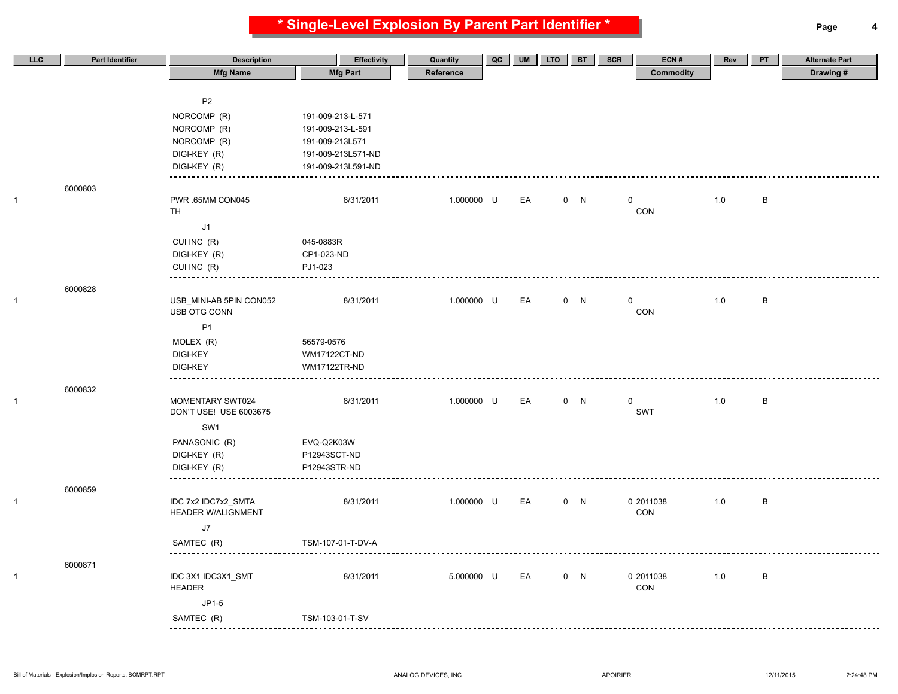**\* Single-Level Explosion By Parent Part Identifier \* Page 4**

| LLC | <b>Part Identifier</b> | <b>Description</b>                               | <b>Effectivity</b>  | Quantity   | QC | UM | <b>LTO</b> | <b>BT</b> | ECN#<br>SCR      | Rev | PT           | <b>Alternate Part</b> |
|-----|------------------------|--------------------------------------------------|---------------------|------------|----|----|------------|-----------|------------------|-----|--------------|-----------------------|
|     |                        | <b>Mfg Name</b>                                  | <b>Mfg Part</b>     | Reference  |    |    |            |           | <b>Commodity</b> |     |              | Drawing#              |
|     |                        |                                                  |                     |            |    |    |            |           |                  |     |              |                       |
|     |                        | P <sub>2</sub>                                   |                     |            |    |    |            |           |                  |     |              |                       |
|     |                        | NORCOMP (R)                                      | 191-009-213-L-571   |            |    |    |            |           |                  |     |              |                       |
|     |                        | NORCOMP (R)                                      | 191-009-213-L-591   |            |    |    |            |           |                  |     |              |                       |
|     |                        | NORCOMP (R)                                      | 191-009-213L571     |            |    |    |            |           |                  |     |              |                       |
|     |                        | DIGI-KEY (R)                                     | 191-009-213L571-ND  |            |    |    |            |           |                  |     |              |                       |
|     |                        | DIGI-KEY (R)                                     | 191-009-213L591-ND  |            |    |    |            |           |                  |     |              |                       |
|     | 6000803                |                                                  |                     |            |    |    |            |           |                  |     |              |                       |
|     |                        | PWR .65MM CON045                                 | 8/31/2011           | 1.000000 U |    | EA |            | 0 N       | 0                | 1.0 | B            |                       |
|     |                        | <b>TH</b>                                        |                     |            |    |    |            |           | CON              |     |              |                       |
|     |                        | J1                                               |                     |            |    |    |            |           |                  |     |              |                       |
|     |                        | CUI INC (R)                                      | 045-0883R           |            |    |    |            |           |                  |     |              |                       |
|     |                        | DIGI-KEY (R)                                     | CP1-023-ND          |            |    |    |            |           |                  |     |              |                       |
|     |                        | CUI INC (R)                                      | PJ1-023             |            |    |    |            |           |                  |     |              |                       |
|     | 6000828                |                                                  |                     |            |    |    |            |           |                  |     |              |                       |
|     |                        | USB_MINI-AB 5PIN CON052                          | 8/31/2011           | 1.000000 U |    | EA |            | 0 N       | $\mathbf 0$      | 1.0 | $\, {\sf B}$ |                       |
|     |                        | USB OTG CONN                                     |                     |            |    |    |            |           | CON              |     |              |                       |
|     |                        | P <sub>1</sub>                                   |                     |            |    |    |            |           |                  |     |              |                       |
|     |                        | MOLEX (R)                                        | 56579-0576          |            |    |    |            |           |                  |     |              |                       |
|     |                        | <b>DIGI-KEY</b>                                  | WM17122CT-ND        |            |    |    |            |           |                  |     |              |                       |
|     |                        | <b>DIGI-KEY</b>                                  | <b>WM17122TR-ND</b> |            |    |    |            |           |                  |     |              |                       |
|     | 6000832                |                                                  |                     |            |    |    |            |           |                  |     |              |                       |
|     |                        | MOMENTARY SWT024                                 | 8/31/2011           | 1.000000 U |    | EA |            | 0 N       | $\mathbf 0$      | 1.0 | $\, {\sf B}$ |                       |
|     |                        | DON'T USE! USE 6003675                           |                     |            |    |    |            |           | <b>SWT</b>       |     |              |                       |
|     |                        | SW1                                              |                     |            |    |    |            |           |                  |     |              |                       |
|     |                        | PANASONIC (R)                                    | EVQ-Q2K03W          |            |    |    |            |           |                  |     |              |                       |
|     |                        | DIGI-KEY (R)                                     | P12943SCT-ND        |            |    |    |            |           |                  |     |              |                       |
|     |                        | DIGI-KEY (R)                                     | P12943STR-ND        |            |    |    |            |           |                  |     |              |                       |
|     |                        |                                                  |                     |            |    |    |            |           |                  |     |              |                       |
|     | 6000859                |                                                  |                     |            |    |    |            |           |                  |     |              |                       |
|     |                        | IDC 7x2 IDC7x2_SMTA<br><b>HEADER W/ALIGNMENT</b> | 8/31/2011           | 1.000000 U |    | EA |            | 0 N       | 0 2011038<br>CON | 1.0 | $\, {\sf B}$ |                       |
|     |                        |                                                  |                     |            |    |    |            |           |                  |     |              |                       |
|     |                        | $\sf J7$                                         |                     |            |    |    |            |           |                  |     |              |                       |
|     |                        | SAMTEC (R)                                       | TSM-107-01-T-DV-A   |            |    |    |            |           |                  |     |              |                       |
|     | 6000871                |                                                  |                     |            |    |    |            |           |                  |     |              |                       |
|     |                        | IDC 3X1 IDC3X1_SMT                               | 8/31/2011           | 5.000000 U |    | EA |            | 0 N       | 0 2011038        | 1.0 | $\, {\sf B}$ |                       |
|     |                        | <b>HEADER</b>                                    |                     |            |    |    |            |           | CON              |     |              |                       |
|     |                        | $JP1-5$                                          |                     |            |    |    |            |           |                  |     |              |                       |
|     |                        | SAMTEC (R)                                       | TSM-103-01-T-SV     |            |    |    |            |           |                  |     |              |                       |
|     |                        | $- - -$                                          |                     |            |    |    |            |           |                  |     |              |                       |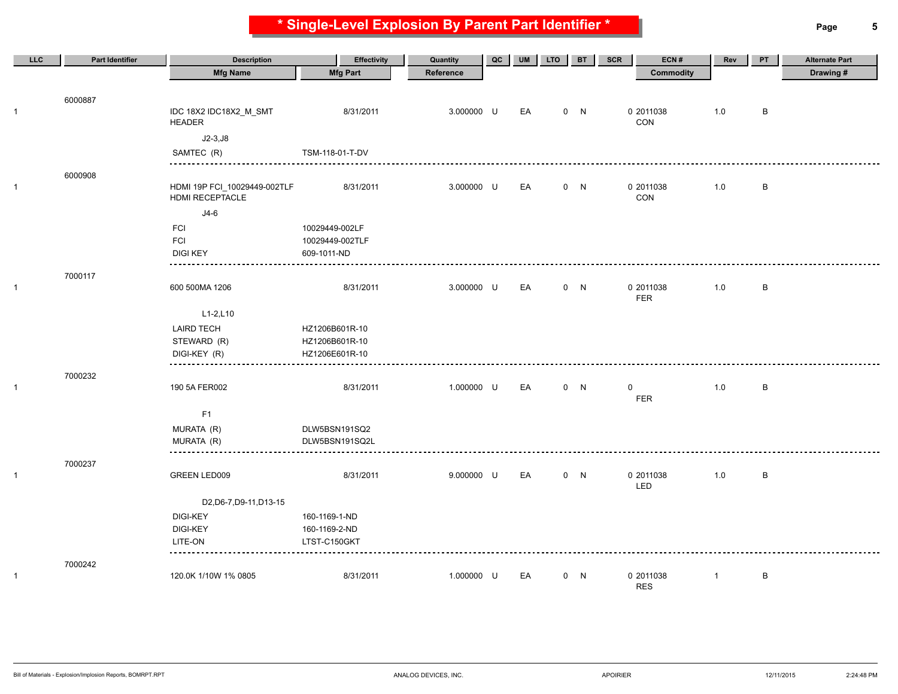**\* Single-Level Explosion By Parent Part Identifier \* Page 5**

| LLC            | Part Identifier | <b>Description</b>                              | Effectivity     | Quantity   | QC | <b>UM</b> | <b>LTO</b> | <b>BT</b> | ECN#<br>SCR             | Rev          | PT | <b>Alternate Part</b> |
|----------------|-----------------|-------------------------------------------------|-----------------|------------|----|-----------|------------|-----------|-------------------------|--------------|----|-----------------------|
|                |                 | <b>Mfg Name</b>                                 | <b>Mfg Part</b> | Reference  |    |           |            |           | Commodity               |              |    | Drawing#              |
|                |                 |                                                 |                 |            |    |           |            |           |                         |              |    |                       |
| $\mathbf{1}$   | 6000887         | IDC 18X2 IDC18X2_M_SMT<br><b>HEADER</b>         | 8/31/2011       | 3.000000 U |    | EA        |            | 0 N       | 0 2011038<br>CON        | 1.0          | B  |                       |
|                |                 | $J2-3,J8$                                       |                 |            |    |           |            |           |                         |              |    |                       |
|                |                 | SAMTEC (R)                                      | TSM-118-01-T-DV |            |    |           |            |           |                         |              |    |                       |
|                |                 |                                                 |                 |            |    |           |            |           |                         |              |    |                       |
| $\overline{1}$ | 6000908         | HDMI 19P FCI_10029449-002TLF<br>HDMI RECEPTACLE | 8/31/2011       | 3.000000 U |    | EA        |            | 0 N       | 0 2011038<br>CON        | 1.0          | B  |                       |
|                |                 | $J4-6$                                          |                 |            |    |           |            |           |                         |              |    |                       |
|                |                 | FCI                                             | 10029449-002LF  |            |    |           |            |           |                         |              |    |                       |
|                |                 | <b>FCI</b>                                      | 10029449-002TLF |            |    |           |            |           |                         |              |    |                       |
|                |                 | <b>DIGI KEY</b>                                 | 609-1011-ND     |            |    |           |            |           |                         |              |    |                       |
|                | 7000117         |                                                 |                 |            |    |           |            |           |                         |              |    |                       |
| $\overline{1}$ |                 | 600 500MA 1206                                  | 8/31/2011       | 3.000000 U |    | EA        |            | 0 N       | 0 2011038               | 1.0          | B  |                       |
|                |                 |                                                 |                 |            |    |           |            |           | <b>FER</b>              |              |    |                       |
|                |                 | $L1-2, L10$                                     |                 |            |    |           |            |           |                         |              |    |                       |
|                |                 | <b>LAIRD TECH</b>                               | HZ1206B601R-10  |            |    |           |            |           |                         |              |    |                       |
|                |                 | STEWARD (R)                                     | HZ1206B601R-10  |            |    |           |            |           |                         |              |    |                       |
|                |                 | DIGI-KEY (R)                                    | HZ1206E601R-10  |            |    |           |            |           |                         |              |    |                       |
|                | 7000232         |                                                 |                 |            |    |           |            |           |                         |              |    |                       |
| $\overline{1}$ |                 | 190 5A FER002                                   | 8/31/2011       | 1.000000 U |    | EA        |            | 0 N       | $\mathbf 0$             | 1.0          | B  |                       |
|                |                 |                                                 |                 |            |    |           |            |           | <b>FER</b>              |              |    |                       |
|                |                 | F1                                              |                 |            |    |           |            |           |                         |              |    |                       |
|                |                 | MURATA (R)                                      | DLW5BSN191SQ2   |            |    |           |            |           |                         |              |    |                       |
|                |                 | MURATA (R)                                      | DLW5BSN191SQ2L  |            |    |           |            |           |                         |              |    |                       |
|                | 7000237         |                                                 |                 |            |    |           |            |           |                         |              |    |                       |
| $\mathbf{1}$   |                 | GREEN LED009                                    | 8/31/2011       | 9.000000 U |    | EA        |            | 0 N       | 0 2011038<br>LED        | 1.0          | B  |                       |
|                |                 | D2, D6-7, D9-11, D13-15                         |                 |            |    |           |            |           |                         |              |    |                       |
|                |                 | <b>DIGI-KEY</b>                                 | 160-1169-1-ND   |            |    |           |            |           |                         |              |    |                       |
|                |                 | <b>DIGI-KEY</b>                                 | 160-1169-2-ND   |            |    |           |            |           |                         |              |    |                       |
|                |                 | LITE-ON                                         | LTST-C150GKT    |            |    |           |            |           |                         |              |    |                       |
|                | 7000242         |                                                 |                 |            |    |           |            |           |                         |              |    |                       |
| $\mathbf{1}$   |                 | 120.0K 1/10W 1% 0805                            | 8/31/2011       | 1.000000 U |    | EA        |            | 0 N       | 0 2011038<br><b>RES</b> | $\mathbf{1}$ | B  |                       |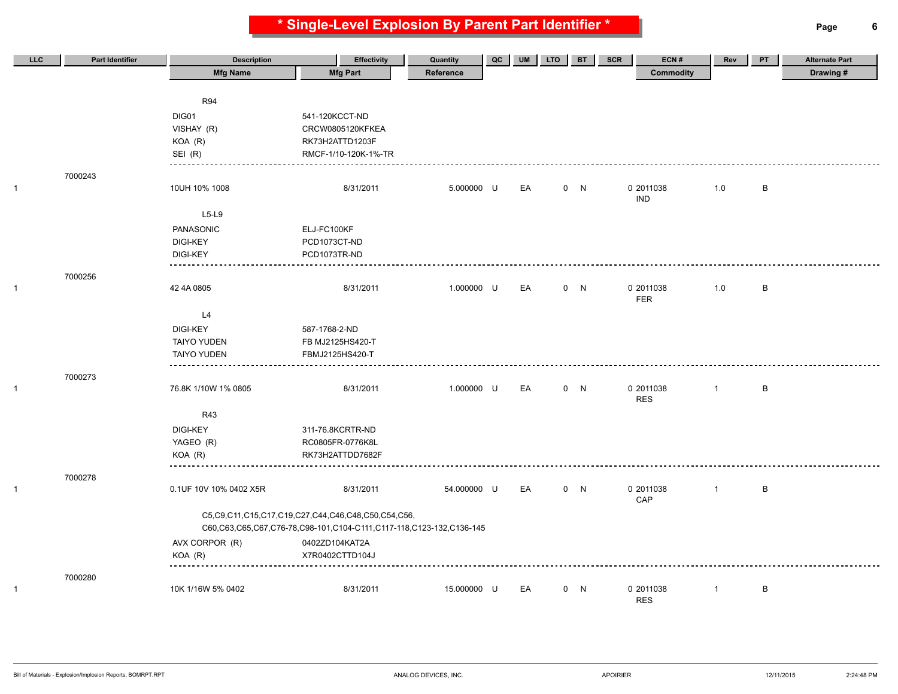**\* Single-Level Explosion By Parent Part Identifier \* Page 6**

| LLC | <b>Part Identifier</b> | <b>Description</b>     | <b>Effectivity</b>                                                  | Quantity    | $_{\rm QC}$ | <b>UM</b> | <b>LTO</b> | <b>BT</b> | ECN#<br>SCR      | Rev            | PT           | <b>Alternate Part</b> |
|-----|------------------------|------------------------|---------------------------------------------------------------------|-------------|-------------|-----------|------------|-----------|------------------|----------------|--------------|-----------------------|
|     |                        | <b>Mfg Name</b>        | <b>Mfg Part</b>                                                     | Reference   |             |           |            |           | <b>Commodity</b> |                |              | Drawing#              |
|     |                        |                        |                                                                     |             |             |           |            |           |                  |                |              |                       |
|     |                        | <b>R94</b>             |                                                                     |             |             |           |            |           |                  |                |              |                       |
|     |                        | DIG01                  | 541-120KCCT-ND                                                      |             |             |           |            |           |                  |                |              |                       |
|     |                        | VISHAY (R)             | CRCW0805120KFKEA                                                    |             |             |           |            |           |                  |                |              |                       |
|     |                        | KOA (R)                | RK73H2ATTD1203F                                                     |             |             |           |            |           |                  |                |              |                       |
|     |                        | SEI (R)                | RMCF-1/10-120K-1%-TR                                                |             |             |           |            |           |                  |                |              |                       |
|     | 7000243                |                        |                                                                     |             |             |           |            |           |                  |                |              |                       |
|     |                        | 10UH 10% 1008          | 8/31/2011                                                           | 5.000000 U  |             | EA        |            | 0 N       | 0 2011038        | 1.0            | $\, {\sf B}$ |                       |
|     |                        |                        |                                                                     |             |             |           |            |           | <b>IND</b>       |                |              |                       |
|     |                        | $L5-L9$                |                                                                     |             |             |           |            |           |                  |                |              |                       |
|     |                        | PANASONIC              | ELJ-FC100KF                                                         |             |             |           |            |           |                  |                |              |                       |
|     |                        | <b>DIGI-KEY</b>        | PCD1073CT-ND                                                        |             |             |           |            |           |                  |                |              |                       |
|     |                        | <b>DIGI-KEY</b>        | PCD1073TR-ND                                                        |             |             |           |            |           |                  |                |              |                       |
|     |                        | ---------              |                                                                     |             |             |           |            |           |                  |                |              |                       |
|     | 7000256                | 42 4A 0805             | 8/31/2011                                                           | 1.000000 U  |             | EA        |            | 0 N       | 0 2011038        | 1.0            | $\, {\sf B}$ |                       |
|     |                        |                        |                                                                     |             |             |           |            |           | FER              |                |              |                       |
|     |                        | L4                     |                                                                     |             |             |           |            |           |                  |                |              |                       |
|     |                        | <b>DIGI-KEY</b>        | 587-1768-2-ND                                                       |             |             |           |            |           |                  |                |              |                       |
|     |                        | <b>TAIYO YUDEN</b>     | FB MJ2125HS420-T                                                    |             |             |           |            |           |                  |                |              |                       |
|     |                        | <b>TAIYO YUDEN</b>     | FBMJ2125HS420-T                                                     |             |             |           |            |           |                  |                |              |                       |
|     |                        |                        |                                                                     |             |             |           |            |           |                  |                |              |                       |
|     | 7000273                |                        |                                                                     |             |             |           |            |           |                  |                |              |                       |
|     |                        | 76.8K 1/10W 1% 0805    | 8/31/2011                                                           | 1.000000 U  |             | EA        |            | 0 N       | 0 2011038        | $\overline{1}$ | B            |                       |
|     |                        |                        |                                                                     |             |             |           |            |           | <b>RES</b>       |                |              |                       |
|     |                        | R43                    |                                                                     |             |             |           |            |           |                  |                |              |                       |
|     |                        | <b>DIGI-KEY</b>        | 311-76.8KCRTR-ND                                                    |             |             |           |            |           |                  |                |              |                       |
|     |                        | YAGEO (R)              | RC0805FR-0776K8L                                                    |             |             |           |            |           |                  |                |              |                       |
|     |                        | $KOA$ $(R)$            | RK73H2ATTDD7682F                                                    |             |             |           |            |           |                  |                |              |                       |
|     | 7000278                |                        |                                                                     |             |             |           |            |           |                  |                |              |                       |
|     |                        | 0.1UF 10V 10% 0402 X5R | 8/31/2011                                                           | 54.000000 U |             | EA        |            | 0 N       | 0 2011038        | $\overline{1}$ | $\, {\sf B}$ |                       |
|     |                        |                        |                                                                     |             |             |           |            |           | CAP              |                |              |                       |
|     |                        |                        | C5,C9,C11,C15,C17,C19,C27,C44,C46,C48,C50,C54,C56,                  |             |             |           |            |           |                  |                |              |                       |
|     |                        |                        | C60,C63,C65,C67,C76-78,C98-101,C104-C111,C117-118,C123-132,C136-145 |             |             |           |            |           |                  |                |              |                       |
|     |                        | AVX CORPOR (R)         | 0402ZD104KAT2A                                                      |             |             |           |            |           |                  |                |              |                       |
|     |                        | $KOA$ $(R)$            | X7R0402CTTD104J                                                     |             |             |           |            |           |                  |                |              |                       |
|     |                        |                        |                                                                     |             |             |           |            |           |                  |                |              |                       |
|     | 7000280                | 10K 1/16W 5% 0402      | 8/31/2011                                                           | 15.000000 U |             | EA        |            | 0 N       | 0 2011038        | $\overline{1}$ | B            |                       |
|     |                        |                        |                                                                     |             |             |           |            |           | <b>RES</b>       |                |              |                       |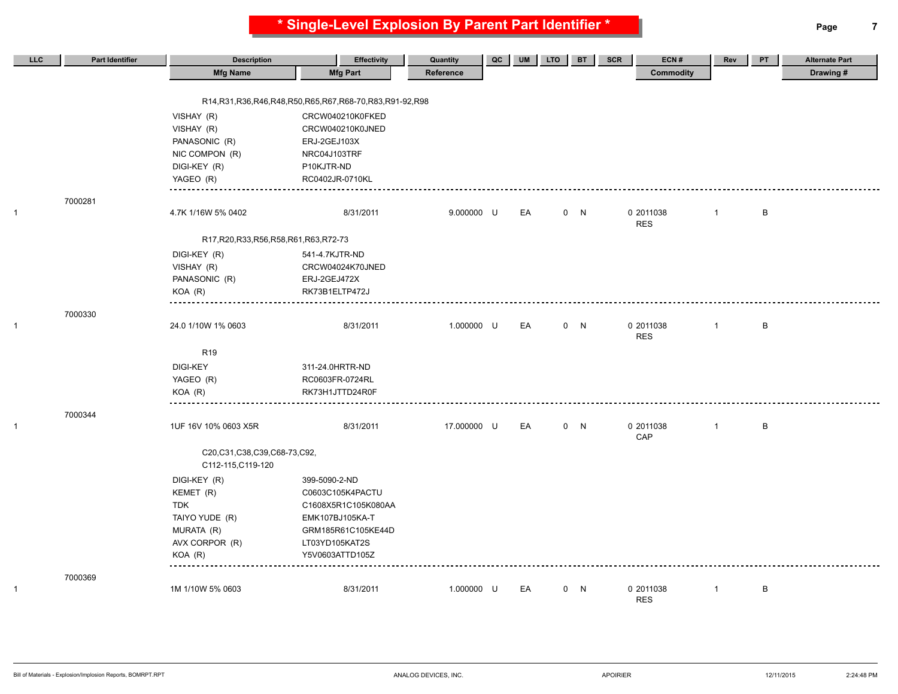**\* Single-Level Explosion By Parent Part Identifier \* Page 7**

| LLC          | <b>Part Identifier</b> | <b>Description</b>                        | <b>Effectivity</b>                                               | Quantity    | QC | <b>UM</b> | <b>LTO</b> | <b>BT</b> | <b>SCR</b><br>ECN#      | Rev          | PT | <b>Alternate Part</b> |
|--------------|------------------------|-------------------------------------------|------------------------------------------------------------------|-------------|----|-----------|------------|-----------|-------------------------|--------------|----|-----------------------|
|              |                        | <b>Mfg Name</b>                           | <b>Mfg Part</b>                                                  | Reference   |    |           |            |           | <b>Commodity</b>        |              |    | Drawing#              |
|              |                        |                                           |                                                                  |             |    |           |            |           |                         |              |    |                       |
|              |                        |                                           | R14, R31, R36, R46, R48, R50, R65, R67, R68-70, R83, R91-92, R98 |             |    |           |            |           |                         |              |    |                       |
|              |                        | VISHAY (R)                                | CRCW040210K0FKED                                                 |             |    |           |            |           |                         |              |    |                       |
|              |                        | VISHAY (R)                                | CRCW040210K0JNED                                                 |             |    |           |            |           |                         |              |    |                       |
|              |                        | PANASONIC (R)                             | ERJ-2GEJ103X                                                     |             |    |           |            |           |                         |              |    |                       |
|              |                        | NIC COMPON (R)                            | NRC04J103TRF                                                     |             |    |           |            |           |                         |              |    |                       |
|              |                        | DIGI-KEY (R)                              | P10KJTR-ND                                                       |             |    |           |            |           |                         |              |    |                       |
|              |                        | YAGEO (R)                                 | RC0402JR-0710KL                                                  |             |    |           |            |           |                         |              |    |                       |
|              | 7000281                |                                           |                                                                  |             |    |           |            |           |                         |              |    |                       |
| $\mathbf{1}$ |                        | 4.7K 1/16W 5% 0402                        | 8/31/2011                                                        | 9.000000 U  |    | EA        |            | 0 N       | 0 2011038               | $\mathbf{1}$ | B  |                       |
|              |                        | R17, R20, R33, R56, R58, R61, R63, R72-73 |                                                                  |             |    |           |            |           | <b>RES</b>              |              |    |                       |
|              |                        | DIGI-KEY (R)                              | 541-4.7KJTR-ND                                                   |             |    |           |            |           |                         |              |    |                       |
|              |                        | VISHAY (R)                                | CRCW04024K70JNED                                                 |             |    |           |            |           |                         |              |    |                       |
|              |                        | PANASONIC (R)                             | ERJ-2GEJ472X                                                     |             |    |           |            |           |                         |              |    |                       |
|              |                        | $KOA$ $(R)$                               | RK73B1ELTP472J                                                   |             |    |           |            |           |                         |              |    |                       |
|              |                        |                                           |                                                                  |             |    |           |            |           |                         |              |    |                       |
|              | 7000330                |                                           |                                                                  |             |    |           |            |           |                         |              |    |                       |
| $\mathbf{1}$ |                        | 24.0 1/10W 1% 0603                        | 8/31/2011                                                        | 1.000000 U  |    | EA        |            | 0 N       | 0 2011038<br><b>RES</b> | $\mathbf{1}$ | B  |                       |
|              |                        | R <sub>19</sub>                           |                                                                  |             |    |           |            |           |                         |              |    |                       |
|              |                        | DIGI-KEY                                  | 311-24.0HRTR-ND                                                  |             |    |           |            |           |                         |              |    |                       |
|              |                        | YAGEO (R)                                 | RC0603FR-0724RL                                                  |             |    |           |            |           |                         |              |    |                       |
|              |                        | $KOA$ $(R)$                               | RK73H1JTTD24R0F                                                  |             |    |           |            |           |                         |              |    |                       |
|              | 7000344                |                                           |                                                                  |             |    |           |            |           |                         |              |    |                       |
| $\mathbf{1}$ |                        | 1UF 16V 10% 0603 X5R                      | 8/31/2011                                                        | 17.000000 U |    | EA        |            | 0 N       | 0 2011038<br>CAP        | $\mathbf{1}$ | B  |                       |
|              |                        | C20,C31,C38,C39,C68-73,C92,               |                                                                  |             |    |           |            |           |                         |              |    |                       |
|              |                        | C112-115, C119-120                        |                                                                  |             |    |           |            |           |                         |              |    |                       |
|              |                        | DIGI-KEY (R)                              | 399-5090-2-ND                                                    |             |    |           |            |           |                         |              |    |                       |
|              |                        | KEMET (R)                                 | C0603C105K4PACTU                                                 |             |    |           |            |           |                         |              |    |                       |
|              |                        | <b>TDK</b>                                | C1608X5R1C105K080AA                                              |             |    |           |            |           |                         |              |    |                       |
|              |                        | TAIYO YUDE (R)                            | EMK107BJ105KA-T                                                  |             |    |           |            |           |                         |              |    |                       |
|              |                        | MURATA (R)                                | GRM185R61C105KE44D                                               |             |    |           |            |           |                         |              |    |                       |
|              |                        | AVX CORPOR (R)                            | LT03YD105KAT2S                                                   |             |    |           |            |           |                         |              |    |                       |
|              |                        | KOA (R)                                   | Y5V0603ATTD105Z                                                  |             |    |           |            |           |                         |              |    |                       |
|              | 7000369                |                                           |                                                                  |             |    |           |            |           |                         |              |    |                       |
| $\mathbf{1}$ |                        | 1M 1/10W 5% 0603                          | 8/31/2011                                                        | 1.000000 U  |    | EA        |            | 0 N       | 0 2011038<br><b>RES</b> | $\mathbf{1}$ | B  |                       |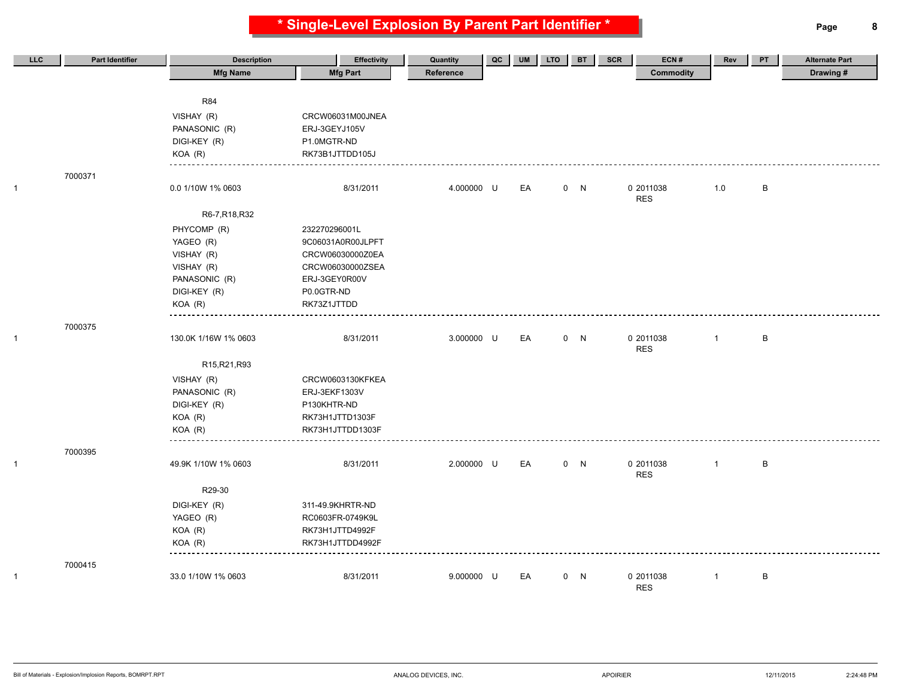**\* Single-Level Explosion By Parent Part Identifier \* Page 8**

| LLC          | Part Identifier | <b>Description</b>   | <b>Effectivity</b> | Quantity   | QC | <b>UM</b> | <b>LTO</b> | <b>BT</b> | ECN#<br><b>SCR</b> | Rev            | PT      | <b>Alternate Part</b> |
|--------------|-----------------|----------------------|--------------------|------------|----|-----------|------------|-----------|--------------------|----------------|---------|-----------------------|
|              |                 | <b>Mfg Name</b>      | <b>Mfg Part</b>    | Reference  |    |           |            |           | <b>Commodity</b>   |                |         | Drawing #             |
|              |                 |                      |                    |            |    |           |            |           |                    |                |         |                       |
|              |                 | <b>R84</b>           |                    |            |    |           |            |           |                    |                |         |                       |
|              |                 | VISHAY (R)           | CRCW06031M00JNEA   |            |    |           |            |           |                    |                |         |                       |
|              |                 | PANASONIC (R)        | ERJ-3GEYJ105V      |            |    |           |            |           |                    |                |         |                       |
|              |                 | DIGI-KEY (R)         | P1.0MGTR-ND        |            |    |           |            |           |                    |                |         |                       |
|              |                 | $KOA$ $(R)$          | RK73B1JTTDD105J    |            |    |           |            |           |                    |                |         |                       |
|              | 7000371         |                      |                    |            |    |           |            |           |                    |                |         |                       |
| $\mathbf{1}$ |                 | 0.0 1/10W 1% 0603    | 8/31/2011          | 4.000000 U |    | EA        |            | 0 N       | 0 2011038          | 1.0            | B       |                       |
|              |                 |                      |                    |            |    |           |            |           | <b>RES</b>         |                |         |                       |
|              |                 | R6-7, R18, R32       |                    |            |    |           |            |           |                    |                |         |                       |
|              |                 | PHYCOMP (R)          | 232270296001L      |            |    |           |            |           |                    |                |         |                       |
|              |                 | YAGEO (R)            | 9C06031A0R00JLPFT  |            |    |           |            |           |                    |                |         |                       |
|              |                 | VISHAY (R)           | CRCW06030000Z0EA   |            |    |           |            |           |                    |                |         |                       |
|              |                 | VISHAY (R)           | CRCW06030000ZSEA   |            |    |           |            |           |                    |                |         |                       |
|              |                 | PANASONIC (R)        | ERJ-3GEY0R00V      |            |    |           |            |           |                    |                |         |                       |
|              |                 | DIGI-KEY (R)         | P0.0GTR-ND         |            |    |           |            |           |                    |                |         |                       |
|              |                 | $KOA$ $(R)$          | RK73Z1JTTDD        |            |    |           |            |           |                    |                |         |                       |
|              | 7000375         |                      |                    |            |    |           |            |           |                    |                |         |                       |
| $\mathbf{1}$ |                 | 130.0K 1/16W 1% 0603 | 8/31/2011          | 3.000000 U |    | EA        |            | 0 N       | 0 2011038          | $\overline{1}$ | $\sf B$ |                       |
|              |                 |                      |                    |            |    |           |            |           | <b>RES</b>         |                |         |                       |
|              |                 | R15, R21, R93        |                    |            |    |           |            |           |                    |                |         |                       |
|              |                 | VISHAY (R)           | CRCW0603130KFKEA   |            |    |           |            |           |                    |                |         |                       |
|              |                 | PANASONIC (R)        | ERJ-3EKF1303V      |            |    |           |            |           |                    |                |         |                       |
|              |                 | DIGI-KEY (R)         | P130KHTR-ND        |            |    |           |            |           |                    |                |         |                       |
|              |                 | KOA (R)              | RK73H1JTTD1303F    |            |    |           |            |           |                    |                |         |                       |
|              |                 | $KOA$ $(R)$          | RK73H1JTTDD1303F   |            |    |           |            |           |                    |                |         |                       |
|              | 7000395         |                      |                    |            |    |           |            |           |                    |                |         |                       |
| $\mathbf{1}$ |                 | 49.9K 1/10W 1% 0603  | 8/31/2011          | 2.000000 U |    | EA        |            | 0 N       | 0 2011038          | $\overline{1}$ | B       |                       |
|              |                 |                      |                    |            |    |           |            |           | <b>RES</b>         |                |         |                       |
|              |                 | R29-30               |                    |            |    |           |            |           |                    |                |         |                       |
|              |                 | DIGI-KEY (R)         | 311-49.9KHRTR-ND   |            |    |           |            |           |                    |                |         |                       |
|              |                 | YAGEO (R)            | RC0603FR-0749K9L   |            |    |           |            |           |                    |                |         |                       |
|              |                 | KOA (R)              | RK73H1JTTD4992F    |            |    |           |            |           |                    |                |         |                       |
|              |                 | $KOA$ $(R)$          | RK73H1JTTDD4992F   |            |    |           |            |           |                    |                |         |                       |
|              | 7000415         |                      |                    |            |    |           |            |           |                    |                |         |                       |
| 1            |                 | 33.0 1/10W 1% 0603   | 8/31/2011          | 9.000000 U |    | EA        |            | 0 N       | 0 2011038          | $\mathbf{1}$   | $\sf B$ |                       |
|              |                 |                      |                    |            |    |           |            |           | <b>RES</b>         |                |         |                       |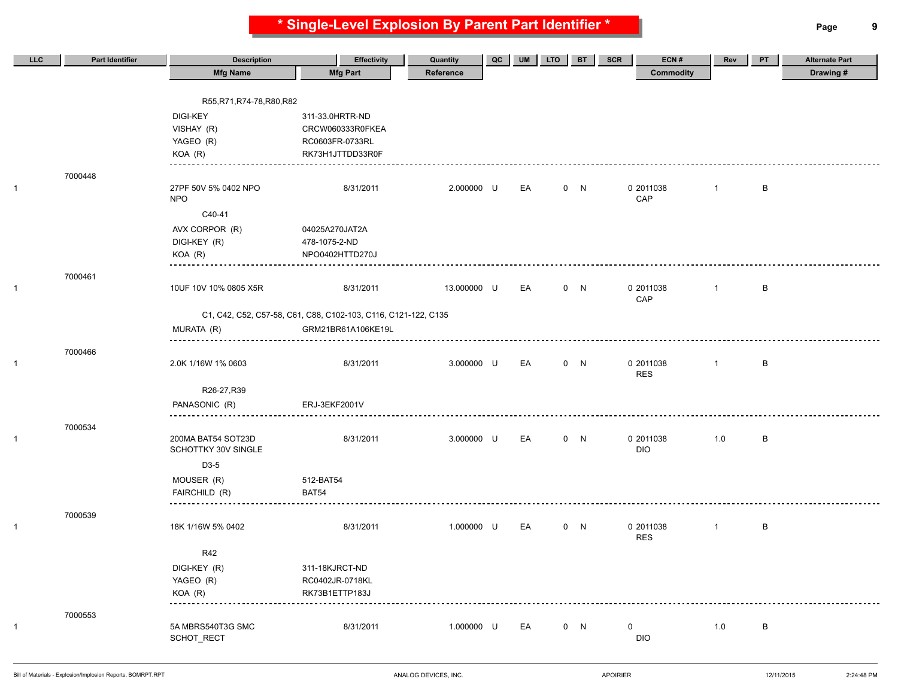**\* Single-Level Explosion By Parent Part Identifier \* Page 9**

| LLC | <b>Part Identifier</b> | <b>Description</b>         | <b>Effectivity</b>                                             | Quantity    | QC | <b>UM</b> | <b>LTO</b> | <b>BT</b> | ECN#<br><b>SCR</b>      | Rev            | PT | <b>Alternate Part</b> |
|-----|------------------------|----------------------------|----------------------------------------------------------------|-------------|----|-----------|------------|-----------|-------------------------|----------------|----|-----------------------|
|     |                        | <b>Mfg Name</b>            | <b>Mfg Part</b>                                                | Reference   |    |           |            |           | <b>Commodity</b>        |                |    | Drawing#              |
|     |                        |                            |                                                                |             |    |           |            |           |                         |                |    |                       |
|     |                        | R55, R71, R74-78, R80, R82 |                                                                |             |    |           |            |           |                         |                |    |                       |
|     |                        | <b>DIGI-KEY</b>            | 311-33.0HRTR-ND                                                |             |    |           |            |           |                         |                |    |                       |
|     |                        | VISHAY (R)                 | CRCW060333R0FKEA                                               |             |    |           |            |           |                         |                |    |                       |
|     |                        | YAGEO (R)                  | RC0603FR-0733RL                                                |             |    |           |            |           |                         |                |    |                       |
|     |                        | KOA (R)                    | RK73H1JTTDD33R0F                                               |             |    |           |            |           |                         |                |    |                       |
|     | 7000448                |                            |                                                                |             |    |           |            |           |                         |                |    |                       |
|     |                        | 27PF 50V 5% 0402 NPO       | 8/31/2011                                                      | 2.000000 U  |    | EA        |            | 0 N       | 0 2011038               | $\mathbf{1}$   | B  |                       |
|     |                        | <b>NPO</b>                 |                                                                |             |    |           |            |           | CAP                     |                |    |                       |
|     |                        | C40-41                     |                                                                |             |    |           |            |           |                         |                |    |                       |
|     |                        | AVX CORPOR (R)             | 04025A270JAT2A                                                 |             |    |           |            |           |                         |                |    |                       |
|     |                        | DIGI-KEY (R)               | 478-1075-2-ND                                                  |             |    |           |            |           |                         |                |    |                       |
|     |                        | KOA (R)                    | NPO0402HTTD270J                                                |             |    |           |            |           |                         |                |    |                       |
|     | 7000461                |                            |                                                                |             |    |           |            |           |                         |                |    |                       |
|     |                        | 10UF 10V 10% 0805 X5R      | 8/31/2011                                                      | 13.000000 U |    | EA        |            | 0 N       | 0 2011038               | $\mathbf{1}$   | B  |                       |
|     |                        |                            |                                                                |             |    |           |            |           | CAP                     |                |    |                       |
|     |                        |                            | C1, C42, C52, C57-58, C61, C88, C102-103, C116, C121-122, C135 |             |    |           |            |           |                         |                |    |                       |
|     |                        | MURATA (R)                 | GRM21BR61A106KE19L                                             |             |    |           |            |           |                         |                |    |                       |
|     |                        |                            |                                                                |             |    |           |            |           |                         |                |    |                       |
|     | 7000466                |                            |                                                                |             |    |           |            |           |                         |                |    |                       |
|     |                        | 2.0K 1/16W 1% 0603         | 8/31/2011                                                      | 3.000000 U  |    | EA        |            | 0 N       | 0 2011038<br><b>RES</b> | $\overline{1}$ | B  |                       |
|     |                        |                            |                                                                |             |    |           |            |           |                         |                |    |                       |
|     |                        | R26-27, R39                |                                                                |             |    |           |            |           |                         |                |    |                       |
|     |                        | PANASONIC (R)              | ERJ-3EKF2001V                                                  |             |    |           |            |           |                         |                |    |                       |
|     | 7000534                |                            |                                                                |             |    |           |            |           |                         |                |    |                       |
|     |                        | 200MA BAT54 SOT23D         | 8/31/2011                                                      | 3.000000 U  |    | EA        |            | 0 N       | 0 2011038               | 1.0            | B  |                       |
|     |                        | SCHOTTKY 30V SINGLE        |                                                                |             |    |           |            |           | <b>DIO</b>              |                |    |                       |
|     |                        | D3-5                       |                                                                |             |    |           |            |           |                         |                |    |                       |
|     |                        | MOUSER (R)                 | 512-BAT54                                                      |             |    |           |            |           |                         |                |    |                       |
|     |                        | FAIRCHILD (R)              | BAT54                                                          |             |    |           |            |           |                         |                |    |                       |
|     | 7000539                |                            |                                                                |             |    |           |            |           |                         |                |    |                       |
|     |                        | 18K 1/16W 5% 0402          | 8/31/2011                                                      | 1.000000 U  |    | EA        |            | 0 N       | 0 2011038               | $\mathbf{1}$   | B  |                       |
|     |                        |                            |                                                                |             |    |           |            |           | <b>RES</b>              |                |    |                       |
|     |                        | R42                        |                                                                |             |    |           |            |           |                         |                |    |                       |
|     |                        | DIGI-KEY (R)               | 311-18KJRCT-ND                                                 |             |    |           |            |           |                         |                |    |                       |
|     |                        | YAGEO (R)                  | RC0402JR-0718KL                                                |             |    |           |            |           |                         |                |    |                       |
|     |                        | KOA (R)                    | RK73B1ETTP183J                                                 |             |    |           |            |           |                         |                |    |                       |
|     |                        |                            |                                                                |             |    |           |            |           |                         |                |    |                       |
|     | 7000553                | 5A MBRS540T3G SMC          | 8/31/2011                                                      | 1.000000 U  |    | EA        |            | 0 N       | $\mathbf 0$             | 1.0            | B  |                       |
|     |                        | SCHOT_RECT                 |                                                                |             |    |           |            |           | <b>DIO</b>              |                |    |                       |
|     |                        |                            |                                                                |             |    |           |            |           |                         |                |    |                       |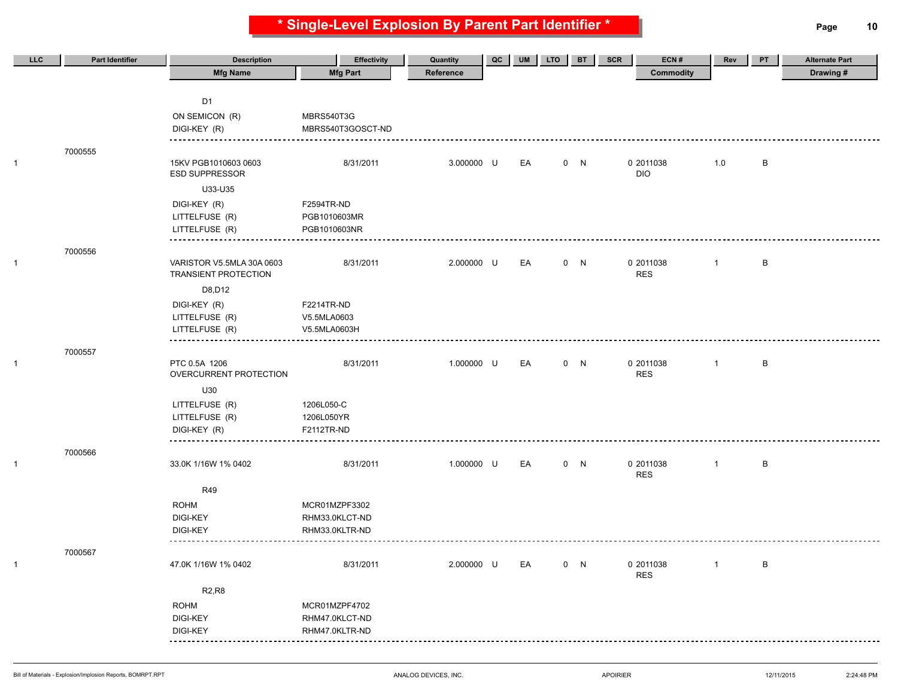**\* Single-Level Explosion By Parent Part Identifier \* Page 10**

| LLC | <b>Part Identifier</b> | <b>Description</b>                                       | <b>Effectivity</b> | Quantity   | QC | UM | <b>LTO</b> | <b>BT</b> | SCR | ECN#                    | Rev            | PT | <b>Alternate Part</b> |
|-----|------------------------|----------------------------------------------------------|--------------------|------------|----|----|------------|-----------|-----|-------------------------|----------------|----|-----------------------|
|     |                        | <b>Mfg Name</b>                                          | <b>Mfg Part</b>    | Reference  |    |    |            |           |     | Commodity               |                |    | Drawing#              |
|     |                        |                                                          |                    |            |    |    |            |           |     |                         |                |    |                       |
|     |                        | D <sub>1</sub>                                           |                    |            |    |    |            |           |     |                         |                |    |                       |
|     |                        | ON SEMICON (R)                                           | MBRS540T3G         |            |    |    |            |           |     |                         |                |    |                       |
|     |                        | DIGI-KEY (R)                                             | MBRS540T3GOSCT-ND  |            |    |    |            |           |     |                         |                |    |                       |
|     | 7000555                |                                                          |                    |            |    |    |            |           |     |                         |                |    |                       |
|     |                        | 15KV PGB1010603 0603<br><b>ESD SUPPRESSOR</b>            | 8/31/2011          | 3.000000 U |    | EA |            | 0 N       |     | 0 2011038<br><b>DIO</b> | 1.0            | B  |                       |
|     |                        | U33-U35                                                  |                    |            |    |    |            |           |     |                         |                |    |                       |
|     |                        | DIGI-KEY (R)                                             | F2594TR-ND         |            |    |    |            |           |     |                         |                |    |                       |
|     |                        | LITTELFUSE (R)                                           | PGB1010603MR       |            |    |    |            |           |     |                         |                |    |                       |
|     |                        | LITTELFUSE (R)                                           | PGB1010603NR       |            |    |    |            |           |     |                         |                |    |                       |
|     | 7000556                |                                                          |                    |            |    |    |            |           |     |                         |                |    |                       |
|     |                        | VARISTOR V5.5MLA 30A 0603<br><b>TRANSIENT PROTECTION</b> | 8/31/2011          | 2.000000 U |    | EA |            | 0 N       |     | 0 2011038<br><b>RES</b> | $\overline{1}$ | B  |                       |
|     |                        | D8, D12                                                  |                    |            |    |    |            |           |     |                         |                |    |                       |
|     |                        | DIGI-KEY (R)                                             | F2214TR-ND         |            |    |    |            |           |     |                         |                |    |                       |
|     |                        | LITTELFUSE (R)                                           | V5.5MLA0603        |            |    |    |            |           |     |                         |                |    |                       |
|     |                        | LITTELFUSE (R)                                           | V5.5MLA0603H       |            |    |    |            |           |     |                         |                |    |                       |
|     | 7000557                |                                                          |                    |            |    |    |            |           |     |                         |                |    |                       |
|     |                        | PTC 0.5A 1206<br>OVERCURRENT PROTECTION                  | 8/31/2011          | 1.000000 U |    | EA |            | 0 N       |     | 0 2011038<br><b>RES</b> | $\mathbf{1}$   | B  |                       |
|     |                        | U30                                                      |                    |            |    |    |            |           |     |                         |                |    |                       |
|     |                        | LITTELFUSE (R)                                           | 1206L050-C         |            |    |    |            |           |     |                         |                |    |                       |
|     |                        | LITTELFUSE (R)                                           | 1206L050YR         |            |    |    |            |           |     |                         |                |    |                       |
|     |                        | DIGI-KEY (R)                                             | F2112TR-ND         |            |    |    |            |           |     |                         |                |    |                       |
|     | 7000566                |                                                          |                    |            |    |    |            |           |     |                         |                |    |                       |
|     |                        | 33.0K 1/16W 1% 0402                                      | 8/31/2011          | 1.000000 U |    | EA |            | 0 N       |     | 0 2011038<br><b>RES</b> | $\mathbf{1}$   | B  |                       |
|     |                        | <b>R49</b>                                               |                    |            |    |    |            |           |     |                         |                |    |                       |
|     |                        | <b>ROHM</b>                                              | MCR01MZPF3302      |            |    |    |            |           |     |                         |                |    |                       |
|     |                        | <b>DIGI-KEY</b>                                          | RHM33.0KLCT-ND     |            |    |    |            |           |     |                         |                |    |                       |
|     |                        | <b>DIGI-KEY</b>                                          | RHM33.0KLTR-ND     |            |    |    |            |           |     |                         |                |    |                       |
|     | 7000567                | --------                                                 |                    |            |    |    |            |           |     |                         |                |    |                       |
|     |                        | 47.0K 1/16W 1% 0402                                      | 8/31/2011          | 2.000000 U |    | EA |            | 0 N       |     | 0 2011038               | $\overline{1}$ | B  |                       |
|     |                        |                                                          |                    |            |    |    |            |           |     | <b>RES</b>              |                |    |                       |
|     |                        | <b>R2,R8</b>                                             |                    |            |    |    |            |           |     |                         |                |    |                       |
|     |                        | <b>ROHM</b>                                              | MCR01MZPF4702      |            |    |    |            |           |     |                         |                |    |                       |
|     |                        | DIGI-KEY                                                 | RHM47.0KLCT-ND     |            |    |    |            |           |     |                         |                |    |                       |
|     |                        | <b>DIGI-KEY</b><br>                                      | RHM47.0KLTR-ND     |            |    |    |            |           |     |                         |                |    |                       |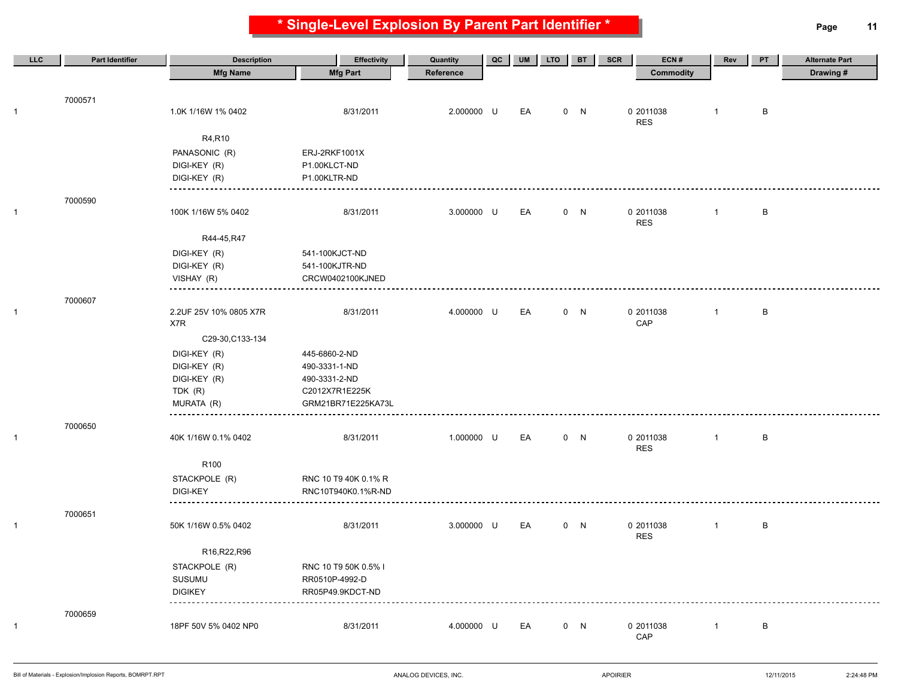**\* Single-Level Explosion By Parent Part Identifier \* Page 11**

| LLC          | <b>Part Identifier</b> | <b>Description</b>     | <b>Effectivity</b>   | Quantity   | QC | <b>UM</b> | <b>LTO</b> | <b>BT</b> | ECN#<br><b>SCR</b>      | Rev          | PT           | <b>Alternate Part</b> |
|--------------|------------------------|------------------------|----------------------|------------|----|-----------|------------|-----------|-------------------------|--------------|--------------|-----------------------|
|              |                        | <b>Mfg Name</b>        | <b>Mfg Part</b>      | Reference  |    |           |            |           | <b>Commodity</b>        |              |              | Drawing#              |
|              |                        |                        |                      |            |    |           |            |           |                         |              |              |                       |
|              | 7000571                |                        |                      |            |    |           |            |           |                         |              |              |                       |
| $\mathbf{1}$ |                        | 1.0K 1/16W 1% 0402     | 8/31/2011            | 2.000000 U |    | EA        |            | 0 N       | 0 2011038<br><b>RES</b> | $\mathbf{1}$ | B            |                       |
|              |                        | R4,R10                 |                      |            |    |           |            |           |                         |              |              |                       |
|              |                        | PANASONIC (R)          | ERJ-2RKF1001X        |            |    |           |            |           |                         |              |              |                       |
|              |                        | DIGI-KEY (R)           | P1.00KLCT-ND         |            |    |           |            |           |                         |              |              |                       |
|              |                        | DIGI-KEY (R)           | P1.00KLTR-ND         |            |    |           |            |           |                         |              |              |                       |
|              |                        |                        |                      |            |    |           |            |           |                         |              |              |                       |
| $\mathbf{1}$ | 7000590                | 100K 1/16W 5% 0402     | 8/31/2011            | 3.000000 U |    | EA        |            | 0 N       | 0 2011038               | $\mathbf{1}$ | В            |                       |
|              |                        |                        |                      |            |    |           |            |           | <b>RES</b>              |              |              |                       |
|              |                        | R44-45, R47            |                      |            |    |           |            |           |                         |              |              |                       |
|              |                        | DIGI-KEY (R)           | 541-100KJCT-ND       |            |    |           |            |           |                         |              |              |                       |
|              |                        | DIGI-KEY (R)           | 541-100KJTR-ND       |            |    |           |            |           |                         |              |              |                       |
|              |                        | VISHAY (R)             | CRCW0402100KJNED     |            |    |           |            |           |                         |              |              |                       |
|              |                        |                        |                      |            |    |           |            |           |                         |              |              |                       |
| $\mathbf{1}$ | 7000607                | 2.2UF 25V 10% 0805 X7R | 8/31/2011            | 4.000000 U |    | EA        |            | 0 N       | 0 2011038               | $\mathbf{1}$ | $\, {\sf B}$ |                       |
|              |                        | X7R                    |                      |            |    |           |            |           | CAP                     |              |              |                       |
|              |                        | C29-30, C133-134       |                      |            |    |           |            |           |                         |              |              |                       |
|              |                        | DIGI-KEY (R)           | 445-6860-2-ND        |            |    |           |            |           |                         |              |              |                       |
|              |                        | DIGI-KEY (R)           | 490-3331-1-ND        |            |    |           |            |           |                         |              |              |                       |
|              |                        | DIGI-KEY (R)           | 490-3331-2-ND        |            |    |           |            |           |                         |              |              |                       |
|              |                        | TDK (R)                | C2012X7R1E225K       |            |    |           |            |           |                         |              |              |                       |
|              |                        | MURATA (R)             | GRM21BR71E225KA73L   |            |    |           |            |           |                         |              |              |                       |
|              | 7000650                |                        |                      |            |    |           |            |           |                         |              |              |                       |
| $\mathbf{1}$ |                        | 40K 1/16W 0.1% 0402    | 8/31/2011            | 1.000000 U |    | EA        |            | 0 N       | 0 2011038               | $\mathbf{1}$ | В            |                       |
|              |                        |                        |                      |            |    |           |            |           | <b>RES</b>              |              |              |                       |
|              |                        | R <sub>100</sub>       |                      |            |    |           |            |           |                         |              |              |                       |
|              |                        | STACKPOLE (R)          | RNC 10 T9 40K 0.1% R |            |    |           |            |           |                         |              |              |                       |
|              |                        | <b>DIGI-KEY</b>        | RNC10T940K0.1%R-ND   |            |    |           |            |           |                         |              |              |                       |
|              |                        |                        |                      |            |    |           |            |           |                         |              |              |                       |
| $\mathbf{1}$ | 7000651                | 50K 1/16W 0.5% 0402    | 8/31/2011            | 3.000000 U |    | EA        |            | 0 N       | 0 2011038               | $\mathbf{1}$ | B            |                       |
|              |                        |                        |                      |            |    |           |            |           | <b>RES</b>              |              |              |                       |
|              |                        | R16,R22,R96            |                      |            |    |           |            |           |                         |              |              |                       |
|              |                        | STACKPOLE (R)          | RNC 10 T9 50K 0.5% I |            |    |           |            |           |                         |              |              |                       |
|              |                        | SUSUMU                 | RR0510P-4992-D       |            |    |           |            |           |                         |              |              |                       |
|              |                        | <b>DIGIKEY</b>         | RR05P49.9KDCT-ND     |            |    |           |            |           |                         |              |              |                       |
|              |                        |                        |                      |            |    |           |            |           |                         |              |              |                       |
| $\mathbf{1}$ | 7000659                | 18PF 50V 5% 0402 NP0   | 8/31/2011            | 4.000000 U |    | EA        |            | 0 N       | 0 2011038               | $\mathbf{1}$ | B            |                       |
|              |                        |                        |                      |            |    |           |            |           | CAP                     |              |              |                       |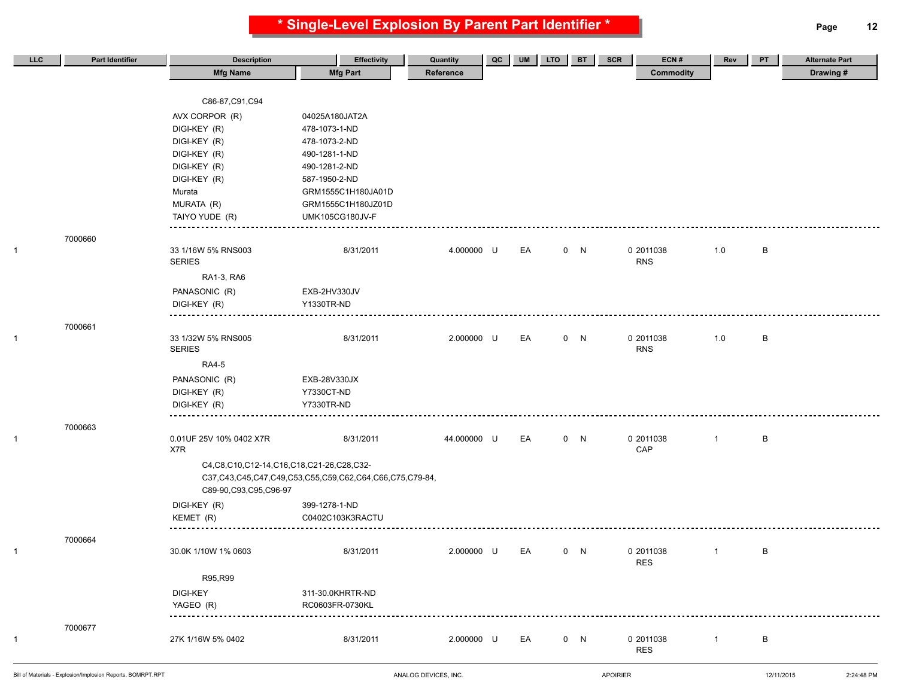**\* Single-Level Explosion By Parent Part Identifier \* Page 12**

| LLC            | <b>Part Identifier</b> | <b>Description</b>                               | <b>Effectivity</b>                                      | Quantity    | QC | <b>UM</b> | <b>LTO</b> | <b>BT</b> | <b>SCR</b> | ECN#                    | Rev          | PT | <b>Alternate Part</b> |
|----------------|------------------------|--------------------------------------------------|---------------------------------------------------------|-------------|----|-----------|------------|-----------|------------|-------------------------|--------------|----|-----------------------|
|                |                        | <b>Mfg Name</b>                                  | <b>Mfg Part</b>                                         | Reference   |    |           |            |           |            | <b>Commodity</b>        |              |    | Drawing#              |
|                |                        | C86-87, C91, C94                                 |                                                         |             |    |           |            |           |            |                         |              |    |                       |
|                |                        | AVX CORPOR (R)                                   | 04025A180JAT2A                                          |             |    |           |            |           |            |                         |              |    |                       |
|                |                        | DIGI-KEY (R)                                     | 478-1073-1-ND                                           |             |    |           |            |           |            |                         |              |    |                       |
|                |                        | DIGI-KEY (R)                                     | 478-1073-2-ND                                           |             |    |           |            |           |            |                         |              |    |                       |
|                |                        | DIGI-KEY (R)                                     | 490-1281-1-ND                                           |             |    |           |            |           |            |                         |              |    |                       |
|                |                        | DIGI-KEY (R)                                     | 490-1281-2-ND                                           |             |    |           |            |           |            |                         |              |    |                       |
|                |                        | DIGI-KEY (R)                                     | 587-1950-2-ND                                           |             |    |           |            |           |            |                         |              |    |                       |
|                |                        | Murata                                           | GRM1555C1H180JA01D                                      |             |    |           |            |           |            |                         |              |    |                       |
|                |                        | MURATA (R)                                       | GRM1555C1H180JZ01D                                      |             |    |           |            |           |            |                         |              |    |                       |
|                |                        | TAIYO YUDE (R)                                   | <b>UMK105CG180JV-F</b>                                  |             |    |           |            |           |            |                         |              |    |                       |
|                | 7000660                |                                                  |                                                         |             |    |           |            |           |            |                         |              |    |                       |
| $\mathbf{1}$   |                        | 33 1/16W 5% RNS003<br><b>SERIES</b>              | 8/31/2011                                               | 4.000000 U  |    | EA        |            | 0 N       |            | 0 2011038<br><b>RNS</b> | 1.0          | В  |                       |
|                |                        | RA1-3, RA6                                       |                                                         |             |    |           |            |           |            |                         |              |    |                       |
|                |                        | PANASONIC (R)                                    | EXB-2HV330JV                                            |             |    |           |            |           |            |                         |              |    |                       |
|                |                        | DIGI-KEY (R)                                     | Y1330TR-ND                                              |             |    |           |            |           |            |                         |              |    |                       |
|                |                        |                                                  |                                                         |             |    |           |            |           |            |                         |              |    |                       |
| 1              | 7000661                | 33 1/32W 5% RNS005<br><b>SERIES</b>              | 8/31/2011                                               | 2.000000 U  |    | EA        |            | 0 N       |            | 0 2011038<br><b>RNS</b> | 1.0          | B  |                       |
|                |                        | <b>RA4-5</b>                                     |                                                         |             |    |           |            |           |            |                         |              |    |                       |
|                |                        | PANASONIC (R)                                    | EXB-28V330JX                                            |             |    |           |            |           |            |                         |              |    |                       |
|                |                        | DIGI-KEY (R)                                     | Y7330CT-ND                                              |             |    |           |            |           |            |                         |              |    |                       |
|                |                        | DIGI-KEY (R)                                     | Y7330TR-ND                                              |             |    |           |            |           |            |                         |              |    |                       |
|                |                        |                                                  |                                                         |             |    |           |            |           |            |                         |              |    |                       |
| $\mathbf{1}$   | 7000663                | 0.01UF 25V 10% 0402 X7R                          | 8/31/2011                                               | 44.000000 U |    | EA        |            | 0 N       |            | 0 2011038               | $\mathbf{1}$ | B  |                       |
|                |                        | X7R                                              |                                                         |             |    |           |            |           |            | CAP                     |              |    |                       |
|                |                        | C4, C8, C10, C12-14, C16, C18, C21-26, C28, C32- |                                                         |             |    |           |            |           |            |                         |              |    |                       |
|                |                        | C89-90, C93, C95, C96-97                         | C37,C43,C45,C47,C49,C53,C55,C59,C62,C64,C66,C75,C79-84, |             |    |           |            |           |            |                         |              |    |                       |
|                |                        | DIGI-KEY (R)                                     | 399-1278-1-ND                                           |             |    |           |            |           |            |                         |              |    |                       |
|                |                        | KEMET (R)                                        | C0402C103K3RACTU                                        |             |    |           |            |           |            |                         |              |    |                       |
|                |                        |                                                  |                                                         |             |    |           |            |           |            |                         |              |    |                       |
|                | 7000664                |                                                  |                                                         |             |    |           |            |           |            |                         |              |    |                       |
| $\overline{1}$ |                        | 30.0K 1/10W 1% 0603                              | 8/31/2011                                               | 2.000000 U  |    | EA        |            | 0 N       |            | 0 2011038<br><b>RES</b> | $\mathbf{1}$ | В  |                       |
|                |                        | R95,R99                                          |                                                         |             |    |           |            |           |            |                         |              |    |                       |
|                |                        | DIGI-KEY                                         | 311-30.0KHRTR-ND                                        |             |    |           |            |           |            |                         |              |    |                       |
|                |                        | YAGEO (R)                                        | RC0603FR-0730KL                                         |             |    |           |            |           |            |                         |              |    |                       |
|                |                        |                                                  |                                                         |             |    |           |            |           |            |                         |              |    |                       |
|                | 7000677                |                                                  |                                                         |             |    |           |            |           |            |                         |              |    |                       |
| $\overline{1}$ |                        | 27K 1/16W 5% 0402                                | 8/31/2011                                               | 2.000000 U  |    | EA        |            | 0 N       |            | 0 2011038               | $\mathbf{1}$ | B  |                       |
|                |                        |                                                  |                                                         |             |    |           |            |           |            | <b>RES</b>              |              |    |                       |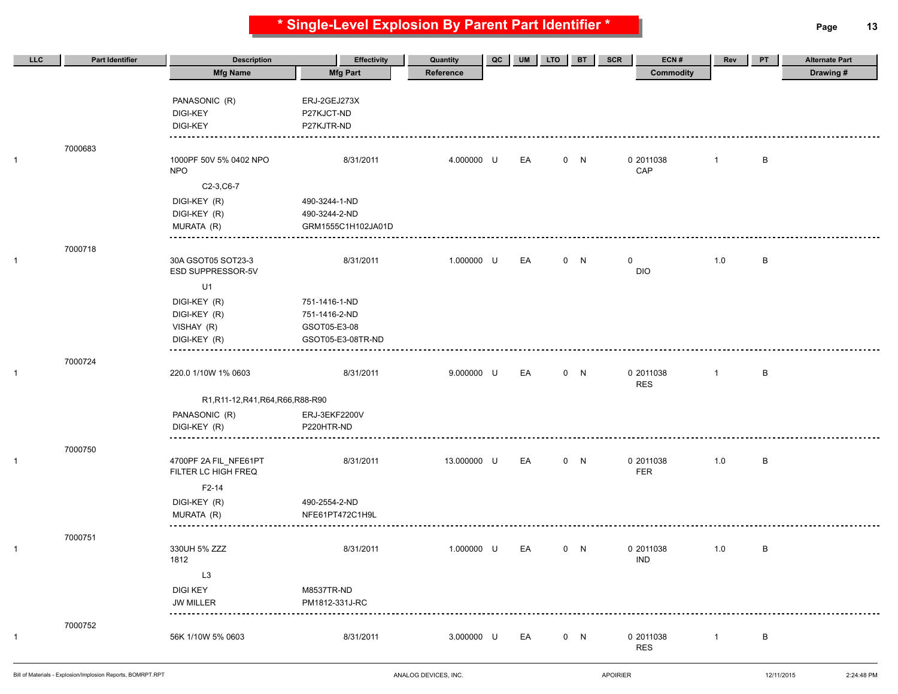**\* Single-Level Explosion By Parent Part Identifier \* Page 13**

| LLC          | <b>Part Identifier</b> | <b>Description</b>                  | <b>Effectivity</b>           | Quantity    | $_{\text{QC}}$ | <b>UM</b> | <b>LTO</b> | <b>BT</b> | SCR         | ECN#                    | Rev          | PT           | <b>Alternate Part</b> |
|--------------|------------------------|-------------------------------------|------------------------------|-------------|----------------|-----------|------------|-----------|-------------|-------------------------|--------------|--------------|-----------------------|
|              |                        | <b>Mfg Name</b>                     | <b>Mfg Part</b>              | Reference   |                |           |            |           |             | <b>Commodity</b>        |              |              | Drawing#              |
|              |                        |                                     |                              |             |                |           |            |           |             |                         |              |              |                       |
|              |                        | PANASONIC (R)                       | ERJ-2GEJ273X                 |             |                |           |            |           |             |                         |              |              |                       |
|              |                        | <b>DIGI-KEY</b>                     | P27KJCT-ND                   |             |                |           |            |           |             |                         |              |              |                       |
|              |                        | <b>DIGI-KEY</b>                     | P27KJTR-ND                   |             |                |           |            |           |             |                         |              |              |                       |
|              |                        |                                     |                              |             |                |           |            |           |             |                         |              |              |                       |
| 1            | 7000683                | 1000PF 50V 5% 0402 NPO              | 8/31/2011                    | 4.000000 U  |                | EA        |            | 0 N       |             | 0 2011038               | $\mathbf{1}$ | B            |                       |
|              |                        | <b>NPO</b>                          |                              |             |                |           |            |           |             | CAP                     |              |              |                       |
|              |                        | C2-3, C6-7                          |                              |             |                |           |            |           |             |                         |              |              |                       |
|              |                        | DIGI-KEY (R)                        | 490-3244-1-ND                |             |                |           |            |           |             |                         |              |              |                       |
|              |                        | DIGI-KEY (R)                        | 490-3244-2-ND                |             |                |           |            |           |             |                         |              |              |                       |
|              |                        | MURATA (R)                          | GRM1555C1H102JA01D           |             |                |           |            |           |             |                         |              |              |                       |
|              |                        |                                     |                              |             |                |           |            |           |             |                         |              |              |                       |
|              | 7000718                |                                     |                              |             |                |           |            |           |             |                         |              |              |                       |
| 1            |                        | 30A GSOT05 SOT23-3                  | 8/31/2011                    | 1.000000 U  |                | EA        |            | 0 N       | $\mathbf 0$ |                         | 1.0          | B            |                       |
|              |                        | ESD SUPPRESSOR-5V                   |                              |             |                |           |            |           |             | <b>DIO</b>              |              |              |                       |
|              |                        | U1                                  |                              |             |                |           |            |           |             |                         |              |              |                       |
|              |                        | DIGI-KEY (R)                        | 751-1416-1-ND                |             |                |           |            |           |             |                         |              |              |                       |
|              |                        | DIGI-KEY (R)                        | 751-1416-2-ND                |             |                |           |            |           |             |                         |              |              |                       |
|              |                        | VISHAY (R)                          | GSOT05-E3-08                 |             |                |           |            |           |             |                         |              |              |                       |
|              |                        | DIGI-KEY (R)                        | GSOT05-E3-08TR-ND            |             |                |           |            |           |             |                         |              |              |                       |
|              | 7000724                |                                     |                              |             |                |           |            |           |             |                         |              |              |                       |
| 1            |                        | 220.0 1/10W 1% 0603                 | 8/31/2011                    | 9.000000 U  |                | EA        |            | 0 N       |             | 0 2011038               | $\mathbf{1}$ | $\, {\sf B}$ |                       |
|              |                        |                                     |                              |             |                |           |            |           |             | <b>RES</b>              |              |              |                       |
|              |                        | R1, R11-12, R41, R64, R66, R88-R90  |                              |             |                |           |            |           |             |                         |              |              |                       |
|              |                        | PANASONIC (R)                       | ERJ-3EKF2200V                |             |                |           |            |           |             |                         |              |              |                       |
|              |                        | DIGI-KEY (R)                        | P220HTR-ND                   |             |                |           |            |           |             |                         |              |              |                       |
|              | 7000750                |                                     |                              |             |                |           |            |           |             |                         |              |              |                       |
| $\mathbf{1}$ |                        | 4700PF 2A FIL_NFE61PT               | 8/31/2011                    | 13.000000 U |                | EA        |            | 0 N       |             | 0 2011038               | 1.0          | B            |                       |
|              |                        | FILTER LC HIGH FREQ                 |                              |             |                |           |            |           |             | <b>FER</b>              |              |              |                       |
|              |                        | F <sub>2</sub> -14                  |                              |             |                |           |            |           |             |                         |              |              |                       |
|              |                        | DIGI-KEY (R)                        | 490-2554-2-ND                |             |                |           |            |           |             |                         |              |              |                       |
|              |                        | MURATA (R)                          | NFE61PT472C1H9L              |             |                |           |            |           |             |                         |              |              |                       |
|              |                        |                                     |                              |             |                |           |            |           |             |                         |              |              |                       |
|              | 7000751                |                                     |                              |             |                |           |            |           |             |                         |              |              |                       |
| 1            |                        | 330UH 5% ZZZ<br>1812                | 8/31/2011                    | 1.000000 U  |                | EA        |            | 0 N       |             | 0 2011038<br><b>IND</b> | 1.0          | В            |                       |
|              |                        | L <sub>3</sub>                      |                              |             |                |           |            |           |             |                         |              |              |                       |
|              |                        |                                     |                              |             |                |           |            |           |             |                         |              |              |                       |
|              |                        | <b>DIGI KEY</b><br><b>JW MILLER</b> | M8537TR-ND<br>PM1812-331J-RC |             |                |           |            |           |             |                         |              |              |                       |
|              |                        |                                     |                              |             |                |           |            |           |             |                         |              |              |                       |
|              | 7000752                |                                     |                              |             |                |           |            |           |             |                         |              |              |                       |
| 1            |                        | 56K 1/10W 5% 0603                   | 8/31/2011                    | 3.000000 U  |                | EA        |            | 0 N       |             | 0 2011038               | $\mathbf{1}$ | $\, {\sf B}$ |                       |
|              |                        |                                     |                              |             |                |           |            |           |             | <b>RES</b>              |              |              |                       |